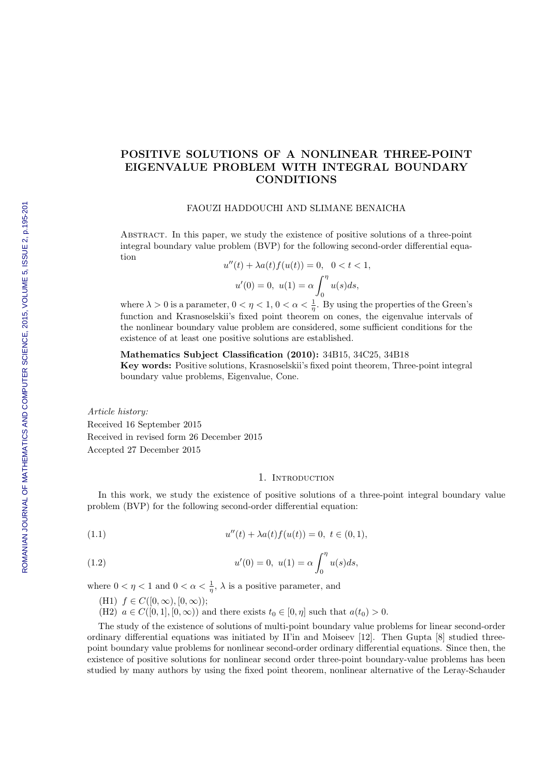# POSITIVE SOLUTIONS OF A NONLINEAR THREE-POINT EIGENVALUE PROBLEM WITH INTEGRAL BOUNDARY CONDITIONS

### FAOUZI HADDOUCHI AND SLIMANE BENAICHA

Abstract. In this paper, we study the existence of positive solutions of a three-point integral boundary value problem (BVP) for the following second-order differential equation

$$
u''(t) + \lambda a(t) f(u(t)) = 0, \quad 0 < t < 1,
$$
  

$$
u'(0) = 0, \quad u(1) = \alpha \int_0^{\eta} u(s) ds,
$$

where  $\lambda > 0$  is a parameter,  $0 < \eta < 1$ ,  $0 < \alpha < \frac{1}{\eta}$ . By using the properties of the Green's function and Krasnoselskii's fixed point theorem on cones, the eigenvalue intervals of the nonlinear boundary value problem are considered, some sufficient conditions for the existence of at least one positive solutions are established.

# Mathematics Subject Classification (2010): 34B15, 34C25, 34B18

Key words: Positive solutions, Krasnoselskii's fixed point theorem, Three-point integral boundary value problems, Eigenvalue, Cone.

Article history: Received 16 September 2015 Received in revised form 26 December 2015 Accepted 27 December 2015

### 1. INTRODUCTION

In this work, we study the existence of positive solutions of a three-point integral boundary value problem (BVP) for the following second-order differential equation:

(1.1) 
$$
u''(t) + \lambda a(t) f(u(t)) = 0, \ t \in (0, 1),
$$

(1.2) 
$$
u'(0) = 0, \ u(1) = \alpha \int_0^{\eta} u(s)ds,
$$

where  $0 < \eta < 1$  and  $0 < \alpha < \frac{1}{\eta}$ ,  $\lambda$  is a positive parameter, and

- (H1)  $f \in C([0,\infty),[0,\infty))$ ;
- (H2)  $a \in C([0, 1], [0, \infty))$  and there exists  $t_0 \in [0, \eta]$  such that  $a(t_0) > 0$ .

The study of the existence of solutions of multi-point boundary value problems for linear second-order ordinary differential equations was initiated by II'in and Moiseev [12]. Then Gupta [8] studied threepoint boundary value problems for nonlinear second-order ordinary differential equations. Since then, the existence of positive solutions for nonlinear second order three-point boundary-value problems has been studied by many authors by using the fixed point theorem, nonlinear alternative of the Leray-Schauder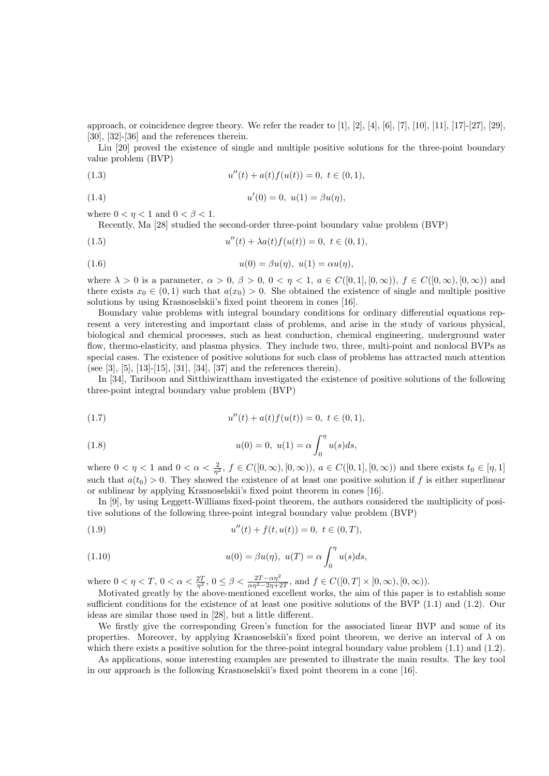approach, or coincidence degree theory. We refer the reader to [1], [2], [4], [6], [7], [10], [11], [17]-[27], [29], [30], [32]-[36] and the references therein.

Liu [20] proved the existence of single and multiple positive solutions for the three-point boundary value problem (BVP)

(1.3) 
$$
u''(t) + a(t)f(u(t)) = 0, \ t \in (0,1),
$$

(1.4) 
$$
u'(0) = 0, \ u(1) = \beta u(\eta),
$$

where  $0 < \eta < 1$  and  $0 < \beta < 1$ .

Recently, Ma [28] studied the second-order three-point boundary value problem (BVP)

(1.5) 
$$
u''(t) + \lambda a(t) f(u(t)) = 0, \ t \in (0,1),
$$

(1.6) 
$$
u(0) = \beta u(\eta), \ u(1) = \alpha u(\eta),
$$

where  $\lambda > 0$  is a parameter,  $\alpha > 0$ ,  $\beta > 0$ ,  $0 < \eta < 1$ ,  $a \in C([0, 1], [0, \infty))$ ,  $f \in C([0, \infty), [0, \infty))$  and there exists  $x_0 \in (0,1)$  such that  $a(x_0) > 0$ . She obtained the existence of single and multiple positive solutions by using Krasnoselskii's fixed point theorem in cones [16].

Boundary value problems with integral boundary conditions for ordinary differential equations represent a very interesting and important class of problems, and arise in the study of various physical, biological and chemical processes, such as heat conduction, chemical engineering, underground water flow, thermo-elasticity, and plasma physics. They include two, three, multi-point and nonlocal BVPs as special cases. The existence of positive solutions for such class of problems has attracted much attention (see [3], [5], [13]-[15], [31], [34], [37] and the references therein).

In [34], Tariboon and Sitthiwirattham investigated the existence of positive solutions of the following three-point integral boundary value problem (BVP)

(1.7) 
$$
u''(t) + a(t)f(u(t)) = 0, \ t \in (0,1),
$$

(1.8) 
$$
u(0) = 0, \ u(1) = \alpha \int_0^{\eta} u(s) ds,
$$

where  $0 < \eta < 1$  and  $0 < \alpha < \frac{2}{\eta^2}$ ,  $f \in C([0,\infty), [0,\infty))$ ,  $a \in C([0,1], [0,\infty))$  and there exists  $t_0 \in [\eta,1]$ such that  $a(t_0) > 0$ . They showed the existence of at least one positive solution if f is either superlinear or sublinear by applying Krasnoselskii's fixed point theorem in cones [16].

In [9], by using Leggett-Williams fixed-point theorem, the authors considered the multiplicity of positive solutions of the following three-point integral boundary value problem (BVP)

(1.9) 
$$
u''(t) + f(t, u(t)) = 0, \ t \in (0, T),
$$

(1.10) 
$$
u(0) = \beta u(\eta), \ u(T) = \alpha \int_0^{\eta} u(s) ds,
$$

where  $0 < \eta < T$ ,  $0 < \alpha < \frac{2T}{\eta^2}$ ,  $0 \leq \beta < \frac{2T - \alpha \eta^2}{\alpha \eta^2 - 2\eta + 2T}$ , and  $f \in C([0, T] \times [0, \infty), [0, \infty))$ .

Motivated greatly by the above-mentioned excellent works, the aim of this paper is to establish some sufficient conditions for the existence of at least one positive solutions of the BVP  $(1.1)$  and  $(1.2)$ . Our ideas are similar those used in [28], but a little different.

We firstly give the corresponding Green's function for the associated linear BVP and some of its properties. Moreover, by applying Krasnoselskii's fixed point theorem, we derive an interval of  $\lambda$  on which there exists a positive solution for the three-point integral boundary value problem  $(1.1)$  and  $(1.2)$ .

As applications, some interesting examples are presented to illustrate the main results. The key tool in our approach is the following Krasnoselskii's fixed point theorem in a cone [16].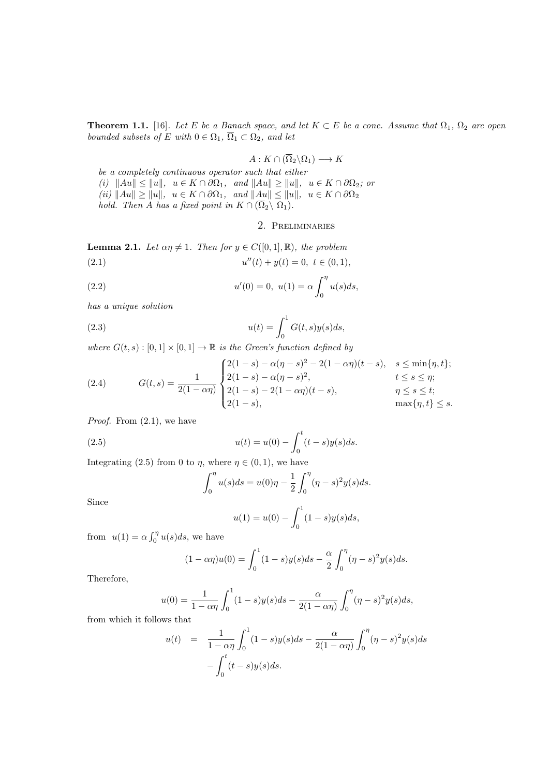**Theorem 1.1.** [16]. Let E be a Banach space, and let  $K \subset E$  be a cone. Assume that  $\Omega_1$ ,  $\Omega_2$  are open bounded subsets of E with  $0 \in \Omega_1$ ,  $\overline{\Omega}_1 \subset \Omega_2$ , and let

$$
A: K \cap (\overline{\Omega}_2 \backslash \Omega_1) \longrightarrow K
$$

be a completely continuous operator such that either (i)  $||Au|| \le ||u||$ ,  $u \in K \cap \partial \Omega_1$ , and  $||Au|| \ge ||u||$ ,  $u \in K \cap \partial \Omega_2$ ; or  $f(ii)$   $||Au|| \ge ||u||$ ,  $u \in K \cap \partial \Omega_1$ , and  $||Au|| \le ||u||$ ,  $u \in K \cap \partial \Omega_2$ hold. Then A has a fixed point in  $K \cap (\overline{\Omega}_2 \setminus \Omega_1)$ .

# 2. Preliminaries

**Lemma 2.1.** Let  $\alpha \eta \neq 1$ . Then for  $y \in C([0,1], \mathbb{R})$ , the problem  $(2.1)$  $u''(t) + y(t) = 0, t \in (0, 1),$ 

(2.2) 
$$
u'(0) = 0, \ u(1) = \alpha \int_0^{\eta} u(s) ds,
$$

has a unique solution

(2.3) 
$$
u(t) = \int_0^1 G(t,s)y(s)ds,
$$

where  $G(t, s) : [0, 1] \times [0, 1] \rightarrow \mathbb{R}$  is the Green's function defined by

(2.4) 
$$
G(t,s) = \frac{1}{2(1-\alpha\eta)} \begin{cases} 2(1-s) - \alpha(\eta-s)^2 - 2(1-\alpha\eta)(t-s), & s \le \min\{\eta,t\};\\ 2(1-s) - \alpha(\eta-s)^2, & t \le s \le \eta;\\ 2(1-s) - 2(1-\alpha\eta)(t-s), & \eta \le s \le t;\\ 2(1-s), & \max\{\eta,t\} \le s. \end{cases}
$$

*Proof.* From  $(2.1)$ , we have

(2.5) 
$$
u(t) = u(0) - \int_0^t (t-s)y(s)ds.
$$

Integrating (2.5) from 0 to  $\eta$ , where  $\eta \in (0,1)$ , we have

$$
\int_0^{\eta} u(s)ds = u(0)\eta - \frac{1}{2}\int_0^{\eta} (\eta - s)^2 y(s)ds.
$$

Since

$$
u(1) = u(0) - \int_0^1 (1 - s)y(s)ds,
$$

from  $u(1) = \alpha \int_0^{\eta} u(s) ds$ , we have

$$
(1 - \alpha \eta)u(0) = \int_0^1 (1 - s)y(s)ds - \frac{\alpha}{2} \int_0^{\eta} (\eta - s)^2 y(s)ds.
$$

Therefore,

$$
u(0) = \frac{1}{1 - \alpha \eta} \int_0^1 (1 - s) y(s) ds - \frac{\alpha}{2(1 - \alpha \eta)} \int_0^{\eta} (\eta - s)^2 y(s) ds,
$$

from which it follows that

$$
u(t) = \frac{1}{1 - \alpha \eta} \int_0^1 (1 - s) y(s) ds - \frac{\alpha}{2(1 - \alpha \eta)} \int_0^{\eta} (\eta - s)^2 y(s) ds - \int_0^t (t - s) y(s) ds.
$$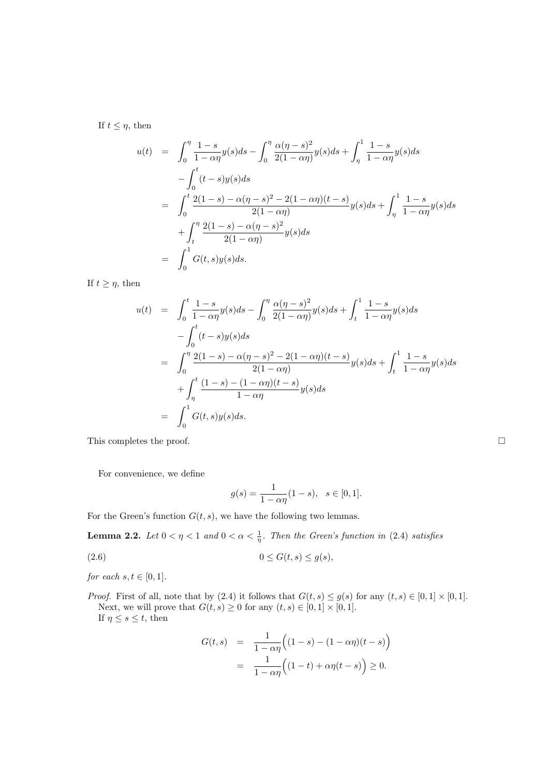If  $t \leq \eta$ , then

$$
u(t) = \int_0^{\eta} \frac{1-s}{1-\alpha \eta} y(s) ds - \int_0^{\eta} \frac{\alpha(\eta-s)^2}{2(1-\alpha \eta)} y(s) ds + \int_{\eta}^1 \frac{1-s}{1-\alpha \eta} y(s) ds
$$
  

$$
- \int_0^t (t-s)y(s) ds
$$
  

$$
= \int_0^t \frac{2(1-s) - \alpha(\eta-s)^2 - 2(1-\alpha \eta)(t-s)}{2(1-\alpha \eta)} y(s) ds + \int_{\eta}^1 \frac{1-s}{1-\alpha \eta} y(s) ds
$$
  

$$
+ \int_t^{\eta} \frac{2(1-s) - \alpha(\eta-s)^2}{2(1-\alpha \eta)} y(s) ds
$$
  

$$
= \int_0^1 G(t,s)y(s) ds.
$$

If  $t \geq \eta$ , then

$$
u(t) = \int_0^t \frac{1-s}{1-\alpha\eta} y(s)ds - \int_0^\eta \frac{\alpha(\eta-s)^2}{2(1-\alpha\eta)} y(s)ds + \int_t^1 \frac{1-s}{1-\alpha\eta} y(s)ds
$$
  

$$
- \int_0^t (t-s)y(s)ds
$$
  

$$
= \int_0^\eta \frac{2(1-s) - \alpha(\eta-s)^2 - 2(1-\alpha\eta)(t-s)}{2(1-\alpha\eta)} y(s)ds + \int_t^1 \frac{1-s}{1-\alpha\eta} y(s)ds
$$
  

$$
+ \int_\eta^t \frac{(1-s) - (1-\alpha\eta)(t-s)}{1-\alpha\eta} y(s)ds
$$
  

$$
= \int_0^1 G(t,s)y(s)ds.
$$

This completes the proof.

For convenience, we define

$$
g(s) = \frac{1}{1 - \alpha \eta} (1 - s), \ \ s \in [0, 1].
$$

For the Green's function  $G(t, s)$ , we have the following two lemmas.

**Lemma 2.2.** Let  $0 < \eta < 1$  and  $0 < \alpha < \frac{1}{\eta}$ . Then the Green's function in (2.4) satisfies

$$
(2.6) \t\t 0 \le G(t,s) \le g(s),
$$

for each  $s, t \in [0, 1]$ .

*Proof.* First of all, note that by (2.4) it follows that  $G(t, s) \le g(s)$  for any  $(t, s) \in [0, 1] \times [0, 1]$ . Next, we will prove that  $G(t, s) \geq 0$  for any  $(t, s) \in [0, 1] \times [0, 1]$ . If  $\eta \leq s \leq t$ , then

$$
G(t,s) = \frac{1}{1-\alpha\eta} \Big( (1-s) - (1-\alpha\eta)(t-s) \Big)
$$
  
= 
$$
\frac{1}{1-\alpha\eta} \Big( (1-t) + \alpha\eta(t-s) \Big) \ge 0.
$$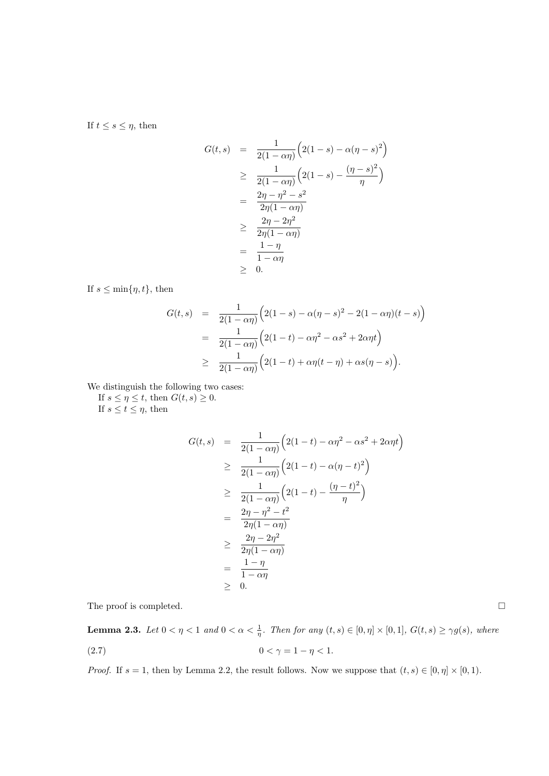If  $t \leq s \leq \eta$ , then

$$
G(t,s) = \frac{1}{2(1 - \alpha \eta)} \left( 2(1 - s) - \alpha(\eta - s)^2 \right)
$$
  
\n
$$
\geq \frac{1}{2(1 - \alpha \eta)} \left( 2(1 - s) - \frac{(\eta - s)^2}{\eta} \right)
$$
  
\n
$$
= \frac{2\eta - \eta^2 - s^2}{2\eta(1 - \alpha \eta)}
$$
  
\n
$$
\geq \frac{2\eta - 2\eta^2}{2\eta(1 - \alpha \eta)}
$$
  
\n
$$
= \frac{1 - \eta}{1 - \alpha \eta}
$$
  
\n
$$
\geq 0.
$$

If  $s \leq \min\{\eta, t\}$ , then

$$
G(t,s) = \frac{1}{2(1-\alpha\eta)} \Big( 2(1-s) - \alpha(\eta - s)^2 - 2(1-\alpha\eta)(t-s) \Big)
$$
  
= 
$$
\frac{1}{2(1-\alpha\eta)} \Big( 2(1-t) - \alpha\eta^2 - \alpha s^2 + 2\alpha\eta t \Big)
$$
  

$$
\geq \frac{1}{2(1-\alpha\eta)} \Big( 2(1-t) + \alpha\eta(t-\eta) + \alpha s(\eta - s) \Big).
$$

We distinguish the following two cases:

If  $s \leq \eta \leq t$ , then  $G(t, s) \geq 0$ .

If  $s \le t \le \eta$ , then

$$
G(t,s) = \frac{1}{2(1 - \alpha \eta)} \left( 2(1 - t) - \alpha \eta^2 - \alpha s^2 + 2\alpha \eta t \right)
$$
  
\n
$$
\geq \frac{1}{2(1 - \alpha \eta)} \left( 2(1 - t) - \alpha (\eta - t)^2 \right)
$$
  
\n
$$
\geq \frac{1}{2(1 - \alpha \eta)} \left( 2(1 - t) - \frac{(\eta - t)^2}{\eta} \right)
$$
  
\n
$$
= \frac{2\eta - \eta^2 - t^2}{2\eta(1 - \alpha \eta)}
$$
  
\n
$$
\geq \frac{2\eta - 2\eta^2}{2\eta(1 - \alpha \eta)}
$$
  
\n
$$
= \frac{1 - \eta}{1 - \alpha \eta}
$$
  
\n
$$
\geq 0.
$$

The proof is completed.  $\Box$ 

**Lemma 2.3.** Let  $0 < \eta < 1$  and  $0 < \alpha < \frac{1}{\eta}$ . Then for any  $(t, s) \in [0, \eta] \times [0, 1]$ ,  $G(t, s) \ge \gamma g(s)$ , where (2.7)  $0 < \gamma = 1 - \eta < 1$ .

*Proof.* If  $s = 1$ , then by Lemma 2.2, the result follows. Now we suppose that  $(t, s) \in [0, \eta] \times [0, 1)$ .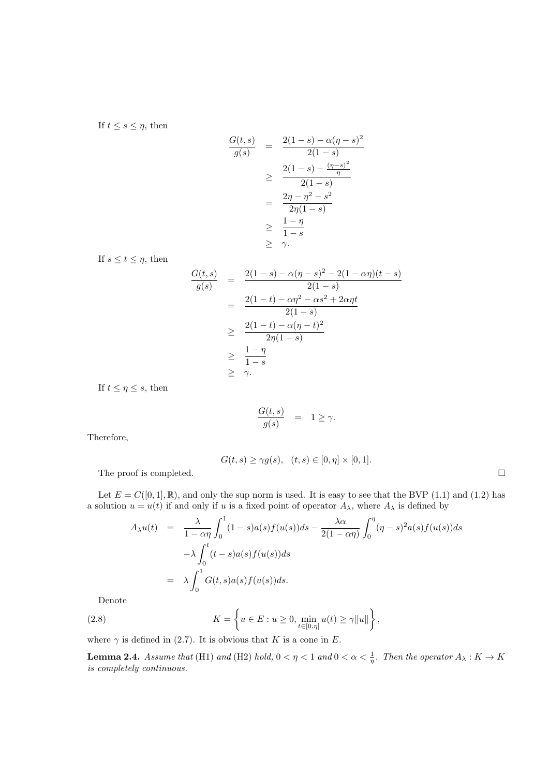If  $t \leq s \leq \eta$ , then

$$
\frac{G(t,s)}{g(s)} = \frac{2(1-s) - \alpha(\eta - s)^2}{2(1-s)}
$$
\n
$$
\geq \frac{2(1-s) - \frac{(\eta - s)^2}{\eta}}{2(1-s)}
$$
\n
$$
= \frac{2\eta - \eta^2 - s^2}{2\eta(1-s)}
$$
\n
$$
\geq \frac{1-\eta}{1-s}
$$
\n
$$
\geq \gamma.
$$

If  $s \le t \le \eta$ , then

$$
\frac{G(t,s)}{g(s)} = \frac{2(1-s) - \alpha(\eta - s)^2 - 2(1 - \alpha \eta)(t - s)}{2(1 - s)} \n= \frac{2(1-t) - \alpha \eta^2 - \alpha s^2 + 2\alpha \eta t}{2(1 - s)} \n\geq \frac{2(1-t) - \alpha(\eta - t)^2}{2\eta(1 - s)} \n\geq \frac{1 - \eta}{1 - s} \n\geq \gamma.
$$

If  $t \leq \eta \leq s$ , then

$$
\frac{G(t,s)}{g(s)} = 1 \ge \gamma.
$$

Therefore,

$$
G(t, s) \geq \gamma g(s), \quad (t, s) \in [0, \eta] \times [0, 1].
$$

The proof is completed.  $\Box$ 

Let  $E = C([0, 1], \mathbb{R})$ , and only the sup norm is used. It is easy to see that the BVP (1.1) and (1.2) has a solution  $u = u(t)$  if and only if u is a fixed point of operator  $A_{\lambda}$ , where  $A_{\lambda}$  is defined by

$$
A_{\lambda}u(t) = \frac{\lambda}{1 - \alpha \eta} \int_0^1 (1 - s)a(s)f(u(s))ds - \frac{\lambda \alpha}{2(1 - \alpha \eta)} \int_0^{\eta} (\eta - s)^2 a(s)f(u(s))ds
$$
  

$$
- \lambda \int_0^t (t - s)a(s)f(u(s))ds
$$
  

$$
= \lambda \int_0^1 G(t, s)a(s)f(u(s))ds.
$$

Denote

(2.8) 
$$
K = \left\{ u \in E : u \ge 0, \min_{t \in [0,\eta]} u(t) \ge \gamma ||u|| \right\},\,
$$

where  $\gamma$  is defined in (2.7). It is obvious that K is a cone in E.

**Lemma 2.4.** Assume that (H1) and (H2) hold,  $0 < \eta < 1$  and  $0 < \alpha < \frac{1}{\eta}$ . Then the operator  $A_{\lambda}: K \to K$ is completely continuous.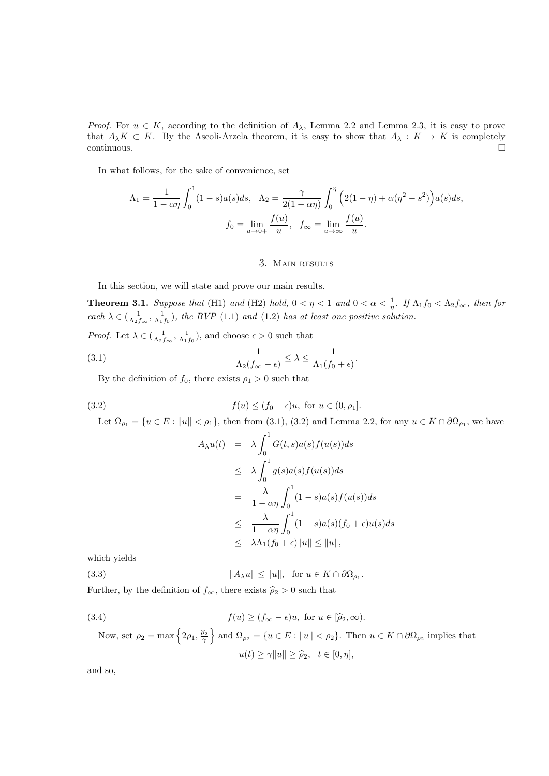*Proof.* For  $u \in K$ , according to the definition of  $A_{\lambda}$ , Lemma 2.2 and Lemma 2.3, it is easy to prove that  $A_{\lambda}K \subset K$ . By the Ascoli-Arzela theorem, it is easy to show that  $A_{\lambda}: K \to K$  is completely continuous. continuous.

In what follows, for the sake of convenience, set

$$
\Lambda_1 = \frac{1}{1 - \alpha \eta} \int_0^1 (1 - s) a(s) ds, \quad \Lambda_2 = \frac{\gamma}{2(1 - \alpha \eta)} \int_0^{\eta} \left( 2(1 - \eta) + \alpha (\eta^2 - s^2) \right) a(s) ds,
$$

$$
f_0 = \lim_{u \to 0+} \frac{f(u)}{u}, \quad f_{\infty} = \lim_{u \to \infty} \frac{f(u)}{u}.
$$

# 3. Main results

In this section, we will state and prove our main results.

**Theorem 3.1.** Suppose that (H1) and (H2) hold,  $0 < \eta < 1$  and  $0 < \alpha < \frac{1}{\eta}$ . If  $\Lambda_1 f_0 < \Lambda_2 f_{\infty}$ , then for each  $\lambda \in (\frac{1}{\Lambda_2 f_{\infty}}, \frac{1}{\Lambda_1 f_0})$ , the BVP (1.1) and (1.2) has at least one positive solution.

*Proof.* Let  $\lambda \in (\frac{1}{\Lambda_2 f_\infty}, \frac{1}{\Lambda_1 f_0})$ , and choose  $\epsilon > 0$  such that

(3.1) 
$$
\frac{1}{\Lambda_2(f_\infty - \epsilon)} \leq \lambda \leq \frac{1}{\Lambda_1(f_0 + \epsilon)}.
$$

By the definition of  $f_0$ , there exists  $\rho_1 > 0$  such that

(3.2) 
$$
f(u) \le (f_0 + \epsilon)u
$$
, for  $u \in (0, \rho_1]$ .

Let  $\Omega_{\rho_1} = \{u \in E : ||u|| < \rho_1\}$ , then from (3.1), (3.2) and Lemma 2.2, for any  $u \in K \cap \partial\Omega_{\rho_1}$ , we have

$$
A_{\lambda}u(t) = \lambda \int_0^1 G(t,s)a(s)f(u(s))ds
$$
  
\n
$$
\leq \lambda \int_0^1 g(s)a(s)f(u(s))ds
$$
  
\n
$$
= \frac{\lambda}{1-\alpha\eta} \int_0^1 (1-s)a(s)f(u(s))ds
$$
  
\n
$$
\leq \frac{\lambda}{1-\alpha\eta} \int_0^1 (1-s)a(s)(f_0+\epsilon)u(s)ds
$$
  
\n
$$
\leq \lambda \Lambda_1(f_0+\epsilon) \|u\| \leq \|u\|,
$$

which yields

(3.3)  $||A_\lambda u|| \le ||u||$ , for  $u \in K \cap \partial \Omega_{\rho_1}$ .

Further, by the definition of  $f_{\infty}$ , there exists  $\hat{\rho}_2 > 0$  such that

(3.4) 
$$
f(u) \ge (f_{\infty} - \epsilon)u, \text{ for } u \in [\hat{\rho}_2, \infty).
$$
  
Now, set  $\rho_2 = \max \{2\rho_1, \frac{\hat{\rho}_2}{\gamma}\}\$  and  $\Omega_{\rho_2} = \{u \in E : ||u|| < \rho_2\}$ . Then  $u \in K \cap \partial \Omega_{\rho_2}$  implies that  $u(t) \ge \gamma ||u|| \ge \hat{\rho}_2, t \in [0, \eta],$ 

and so,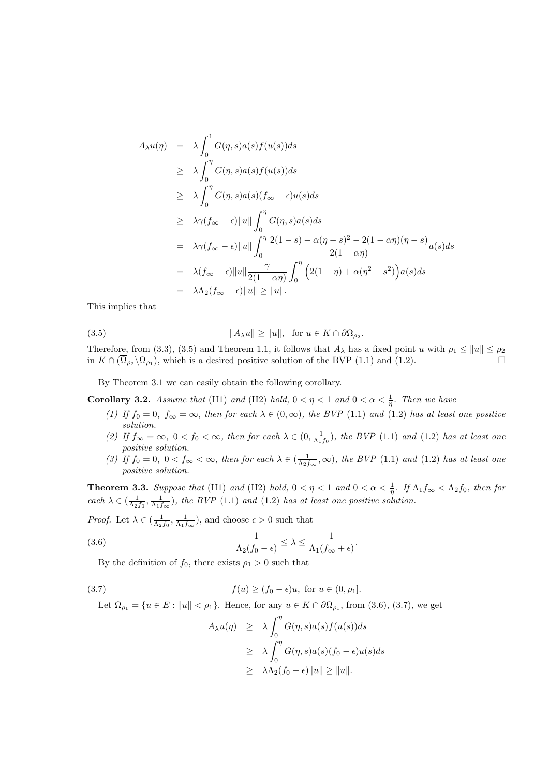$$
A_{\lambda}u(\eta) = \lambda \int_{0}^{1} G(\eta, s)a(s)f(u(s))ds
$$
  
\n
$$
\geq \lambda \int_{0}^{\eta} G(\eta, s)a(s)f(u(s))ds
$$
  
\n
$$
\geq \lambda \int_{0}^{\eta} G(\eta, s)a(s)(f_{\infty} - \epsilon)u(s)ds
$$
  
\n
$$
\geq \lambda \gamma(f_{\infty} - \epsilon) ||u|| \int_{0}^{\eta} G(\eta, s)a(s)ds
$$
  
\n
$$
= \lambda \gamma(f_{\infty} - \epsilon) ||u|| \int_{0}^{\eta} \frac{2(1 - s) - \alpha(\eta - s)^{2} - 2(1 - \alpha \eta)(\eta - s)}{2(1 - \alpha \eta)} a(s)ds
$$
  
\n
$$
= \lambda(f_{\infty} - \epsilon) ||u|| \frac{\gamma}{2(1 - \alpha \eta)} \int_{0}^{\eta} (2(1 - \eta) + \alpha(\eta^{2} - s^{2}))a(s)ds
$$
  
\n
$$
= \lambda \Lambda_{2}(f_{\infty} - \epsilon) ||u|| \geq ||u||.
$$

This implies that

(3.5)  $||A_{\lambda}u|| \ge ||u||$ , for  $u \in K \cap \partial \Omega_{\rho_2}$ .

Therefore, from (3.3), (3.5) and Theorem 1.1, it follows that  $A_\lambda$  has a fixed point u with  $\rho_1 \le ||u|| \le \rho_2$ in  $K \cap (\overline{\Omega}_{\rho_2} \setminus \Omega_{\rho_1})$ , which is a desired positive solution of the BVP (1.1) and (1.2).

By Theorem 3.1 we can easily obtain the following corollary.

**Corollary 3.2.** Assume that (H1) and (H2) hold,  $0 < \eta < 1$  and  $0 < \alpha < \frac{1}{\eta}$ . Then we have

- (1) If  $f_0 = 0$ ,  $f_\infty = \infty$ , then for each  $\lambda \in (0, \infty)$ , the BVP (1.1) and (1.2) has at least one positive solution.
- (2) If  $f_{\infty} = \infty$ ,  $0 < f_0 < \infty$ , then for each  $\lambda \in (0, \frac{1}{\Lambda_1 f_0})$ , the BVP (1.1) and (1.2) has at least one positive solution.
- (3) If  $f_0 = 0$ ,  $0 < f_\infty < \infty$ , then for each  $\lambda \in (\frac{1}{\Lambda_2 f_\infty}, \infty)$ , the BVP (1.1) and (1.2) has at least one positive solution.

**Theorem 3.3.** Suppose that (H1) and (H2) hold,  $0 < \eta < 1$  and  $0 < \alpha < \frac{1}{\eta}$ . If  $\Lambda_1 f_{\infty} < \Lambda_2 f_0$ , then for each  $\lambda \in (\frac{1}{\Lambda_2 f_0}, \frac{1}{\Lambda_1 f_\infty})$ , the BVP (1.1) and (1.2) has at least one positive solution.

*Proof.* Let  $\lambda \in (\frac{1}{\Lambda_2 f_0}, \frac{1}{\Lambda_1 f_\infty})$ , and choose  $\epsilon > 0$  such that

(3.6) 
$$
\frac{1}{\Lambda_2(f_0 - \epsilon)} \leq \lambda \leq \frac{1}{\Lambda_1(f_\infty + \epsilon)}.
$$

By the definition of  $f_0$ , there exists  $\rho_1 > 0$  such that

(3.7) 
$$
f(u) \ge (f_0 - \epsilon)u
$$
, for  $u \in (0, \rho_1]$ .

Let  $\Omega_{\rho_1} = \{u \in E : ||u|| < \rho_1\}$ . Hence, for any  $u \in K \cap \partial \Omega_{\rho_1}$ , from (3.6), (3.7), we get

$$
A_{\lambda}u(\eta) \geq \lambda \int_0^{\eta} G(\eta, s)a(s)f(u(s))ds
$$
  
\n
$$
\geq \lambda \int_0^{\eta} G(\eta, s)a(s)(f_0 - \epsilon)u(s)ds
$$
  
\n
$$
\geq \lambda \Lambda_2(f_0 - \epsilon) \|u\| \geq \|u\|.
$$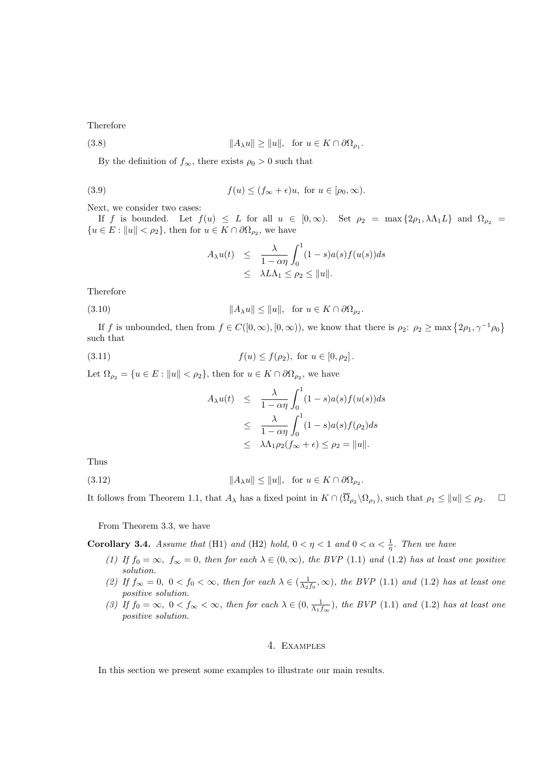Therefore

(3.8) 
$$
||A_{\lambda}u|| \ge ||u||, \text{ for } u \in K \cap \partial \Omega_{\rho_1}.
$$

By the definition of  $f_{\infty}$ , there exists  $\rho_0 > 0$  such that

(3.9) 
$$
f(u) \le (f_{\infty} + \epsilon)u, \text{ for } u \in [\rho_0, \infty).
$$

Next, we consider two cases:

If f is bounded. Let  $f(u) \leq L$  for all  $u \in [0,\infty)$ . Set  $\rho_2 = \max\{2\rho_1, \lambda \Lambda_1 L\}$  and  $\Omega_{\rho_2} =$  ${u \in E : \|u\| < \rho_2}, \text{ then for } u \in K \cap \partial \Omega_{\rho_2}, \text{ we have}$ 

$$
A_{\lambda}u(t) \leq \frac{\lambda}{1-\alpha\eta} \int_0^1 (1-s)a(s)f(u(s))ds
$$
  

$$
\leq \lambda L\Lambda_1 \leq \rho_2 \leq ||u||.
$$

Therefore

(3.10) 
$$
||A_{\lambda}u|| \le ||u||, \text{ for } u \in K \cap \partial \Omega_{\rho_2}.
$$

If f is unbounded, then from  $f \in C([0,\infty), [0,\infty))$ , we know that there is  $\rho_2$ :  $\rho_2 \ge \max\{2\rho_1, \gamma^{-1}\rho_0\}$ such that

(3.11) 
$$
f(u) \le f(\rho_2), \text{ for } u \in [0, \rho_2].
$$

Let  $\Omega_{\rho_2} = \{u \in E : ||u|| < \rho_2\}$ , then for  $u \in K \cap \partial \Omega_{\rho_2}$ , we have

$$
A_{\lambda}u(t) \leq \frac{\lambda}{1-\alpha\eta} \int_0^1 (1-s)a(s)f(u(s))ds
$$
  
\n
$$
\leq \frac{\lambda}{1-\alpha\eta} \int_0^1 (1-s)a(s)f(\rho_2)ds
$$
  
\n
$$
\leq \lambda \Lambda_1 \rho_2(f_{\infty} + \epsilon) \leq \rho_2 = ||u||.
$$

Thus

(3.12) kAλuk ≤ kuk, for u ∈ K ∩ ∂Ωρ<sup>2</sup>

It follows from Theorem 1.1, that  $A_{\lambda}$  has a fixed point in  $K \cap (\overline{\Omega}_{\rho_2} \setminus \Omega_{\rho_1})$ , such that  $\rho_1 \leq ||u|| \leq \rho_2$ .

.

From Theorem 3.3, we have

**Corollary 3.4.** Assume that (H1) and (H2) hold,  $0 < \eta < 1$  and  $0 < \alpha < \frac{1}{\eta}$ . Then we have

- (1) If  $f_0 = \infty$ ,  $f_\infty = 0$ , then for each  $\lambda \in (0, \infty)$ , the BVP (1.1) and (1.2) has at least one positive solution.
- (2) If  $f_{\infty} = 0$ ,  $0 < f_0 < \infty$ , then for each  $\lambda \in (\frac{1}{\Lambda_2 f_0}, \infty)$ , the BVP (1.1) and (1.2) has at least one positive solution.
- (3) If  $f_0 = \infty$ ,  $0 < f_\infty < \infty$ , then for each  $\lambda \in (0, \frac{1}{\Lambda_1 f_\infty})$ , the BVP (1.1) and (1.2) has at least one positive solution.

# 4. Examples

In this section we present some examples to illustrate our main results.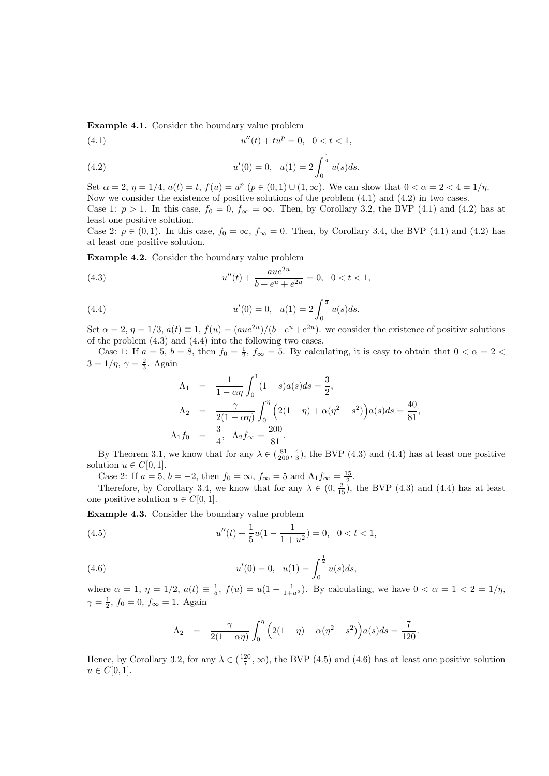Example 4.1. Consider the boundary value problem

(4.1) 
$$
u''(t) + tu^p = 0, \quad 0 < t < 1,
$$

(4.2) 
$$
u'(0) = 0, \quad u(1) = 2 \int_0^{\frac{1}{4}} u(s) ds.
$$

Set  $\alpha = 2$ ,  $\eta = 1/4$ ,  $a(t) = t$ ,  $f(u) = u^p$   $(p \in (0, 1) \cup (1, \infty))$ . We can show that  $0 < \alpha = 2 < 4 = 1/\eta$ . Now we consider the existence of positive solutions of the problem  $(4.1)$  and  $(4.2)$  in two cases. Case 1:  $p > 1$ . In this case,  $f_0 = 0$ ,  $f_\infty = \infty$ . Then, by Corollary 3.2, the BVP (4.1) and (4.2) has at least one positive solution.

Case 2:  $p \in (0,1)$ . In this case,  $f_0 = \infty$ ,  $f_\infty = 0$ . Then, by Corollary 3.4, the BVP (4.1) and (4.2) has at least one positive solution.

Example 4.2. Consider the boundary value problem

(4.3) 
$$
u''(t) + \frac{aue^{2u}}{b + e^u + e^{2u}} = 0, \quad 0 < t < 1,
$$

(4.4) 
$$
u'(0) = 0, \quad u(1) = 2 \int_0^{\frac{1}{3}} u(s) ds.
$$

Set  $\alpha = 2$ ,  $\eta = 1/3$ ,  $a(t) \equiv 1$ ,  $f(u) = (aue^{2u})/(b+e^u+e^{2u})$ . we consider the existence of positive solutions of the problem (4.3) and (4.4) into the following two cases.

Case 1: If  $a = 5$ ,  $b = 8$ , then  $f_0 = \frac{1}{2}$ ,  $f_{\infty} = 5$ . By calculating, it is easy to obtain that  $0 < \alpha = 2$  $3 = 1/\eta, \, \gamma = \frac{2}{3}.$  Again

$$
\Lambda_1 = \frac{1}{1 - \alpha \eta} \int_0^1 (1 - s)a(s)ds = \frac{3}{2},
$$
  
\n
$$
\Lambda_2 = \frac{\gamma}{2(1 - \alpha \eta)} \int_0^{\eta} (2(1 - \eta) + \alpha(\eta^2 - s^2))a(s)ds = \frac{40}{81},
$$
  
\n
$$
\Lambda_1 f_0 = \frac{3}{4}, \quad \Lambda_2 f_{\infty} = \frac{200}{81}.
$$

By Theorem 3.1, we know that for any  $\lambda \in (\frac{81}{200}, \frac{4}{3})$ , the BVP (4.3) and (4.4) has at least one positive solution  $u \in C[0,1]$ .

Case 2: If  $a = 5$ ,  $b = -2$ , then  $f_0 = \infty$ ,  $f_\infty = 5$  and  $\Lambda_1 f_\infty = \frac{15}{2}$ .

Therefore, by Corollary 3.4, we know that for any  $\lambda \in (0, \frac{2}{15})$ , the BVP (4.3) and (4.4) has at least one positive solution  $u \in C[0, 1]$ .

Example 4.3. Consider the boundary value problem

(4.5) 
$$
u''(t) + \frac{1}{5}u(1 - \frac{1}{1 + u^2}) = 0, \quad 0 < t < 1,
$$

(4.6) 
$$
u'(0) = 0, \quad u(1) = \int_0^{\frac{1}{2}} u(s)ds,
$$

where  $\alpha = 1, \eta = 1/2, a(t) \equiv \frac{1}{5}, f(u) = u(1 - \frac{1}{1+u^2})$ . By calculating, we have  $0 < \alpha = 1 < 2 = 1/\eta$ ,  $\gamma = \frac{1}{2}, f_0 = 0, f_{\infty} = 1.$  Again

$$
\Lambda_2 = \frac{\gamma}{2(1-\alpha\eta)} \int_0^{\eta} \Big(2(1-\eta) + \alpha(\eta^2 - s^2)\Big) a(s) ds = \frac{7}{120}.
$$

Hence, by Corollary 3.2, for any  $\lambda \in (\frac{120}{7}, \infty)$ , the BVP (4.5) and (4.6) has at least one positive solution  $u \in C[0,1].$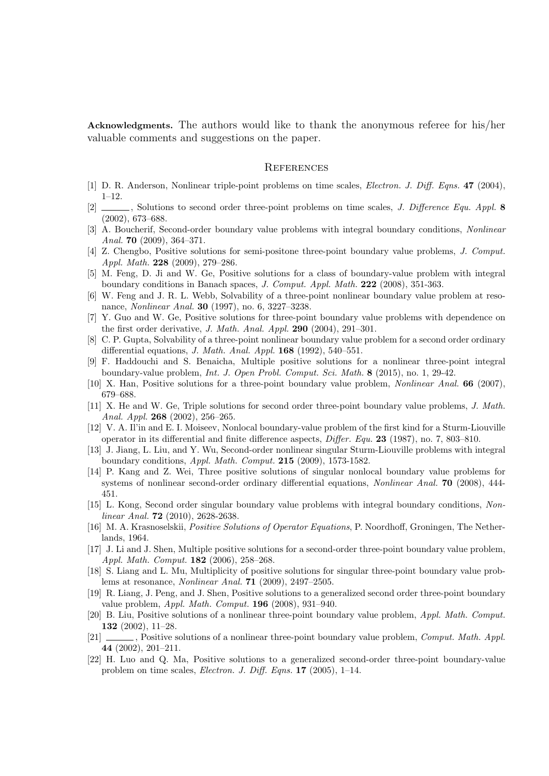Acknowledgments. The authors would like to thank the anonymous referee for his/her valuable comments and suggestions on the paper.

### **REFERENCES**

- [1] D. R. Anderson, Nonlinear triple-point problems on time scales, Electron. J. Diff. Eqns. 47 (2004), 1–12.
- [2]  $\Box$ , Solutions to second order three-point problems on time scales, *J. Difference Equ. Appl.* 8 (2002), 673–688.
- [3] A. Boucherif, Second-order boundary value problems with integral boundary conditions, *Nonlinear* Anal. 70 (2009), 364–371.
- [4] Z. Chengbo, Positive solutions for semi-positone three-point boundary value problems, J. Comput. Appl. Math. 228 (2009), 279–286.
- [5] M. Feng, D. Ji and W. Ge, Positive solutions for a class of boundary-value problem with integral boundary conditions in Banach spaces, J. Comput. Appl. Math. 222 (2008), 351-363.
- [6] W. Feng and J. R. L. Webb, Solvability of a three-point nonlinear boundary value problem at resonance, Nonlinear Anal. 30 (1997), no. 6, 3227–3238.
- [7] Y. Guo and W. Ge, Positive solutions for three-point boundary value problems with dependence on the first order derivative, J. Math. Anal. Appl. 290 (2004), 291–301.
- [8] C. P. Gupta, Solvability of a three-point nonlinear boundary value problem for a second order ordinary differential equations, J. Math. Anal. Appl. 168 (1992), 540–551.
- [9] F. Haddouchi and S. Benaicha, Multiple positive solutions for a nonlinear three-point integral boundary-value problem, Int. J. Open Probl. Comput. Sci. Math. 8 (2015), no. 1, 29-42.
- [10] X. Han, Positive solutions for a three-point boundary value problem, Nonlinear Anal. 66 (2007), 679–688.
- [11] X. He and W. Ge, Triple solutions for second order three-point boundary value problems, J. Math. Anal. Appl. 268 (2002), 256–265.
- [12] V. A. Il'in and E. I. Moiseev, Nonlocal boundary-value problem of the first kind for a Sturm-Liouville operator in its differential and finite difference aspects, Differ. Equ. 23 (1987), no. 7, 803–810.
- [13] J. Jiang, L. Liu, and Y. Wu, Second-order nonlinear singular Sturm-Liouville problems with integral boundary conditions, Appl. Math. Comput. 215 (2009), 1573-1582.
- [14] P. Kang and Z. Wei, Three positive solutions of singular nonlocal boundary value problems for systems of nonlinear second-order ordinary differential equations, Nonlinear Anal. 70 (2008), 444- 451.
- [15] L. Kong, Second order singular boundary value problems with integral boundary conditions, Nonlinear Anal. **72** (2010), 2628-2638.
- [16] M. A. Krasnoselskii, Positive Solutions of Operator Equations, P. Noordhoff, Groningen, The Netherlands, 1964.
- [17] J. Li and J. Shen, Multiple positive solutions for a second-order three-point boundary value problem, Appl. Math. Comput. 182 (2006), 258–268.
- [18] S. Liang and L. Mu, Multiplicity of positive solutions for singular three-point boundary value problems at resonance, Nonlinear Anal. 71 (2009), 2497–2505.
- [19] R. Liang, J. Peng, and J. Shen, Positive solutions to a generalized second order three-point boundary value problem, Appl. Math. Comput. 196 (2008), 931–940.
- [20] B. Liu, Positive solutions of a nonlinear three-point boundary value problem, Appl. Math. Comput. 132 (2002), 11–28.
- [21] , Positive solutions of a nonlinear three-point boundary value problem, *Comput. Math. Appl.* 44 (2002), 201–211.
- [22] H. Luo and Q. Ma, Positive solutions to a generalized second-order three-point boundary-value problem on time scales, Electron. J. Diff. Eqns. 17 (2005), 1–14.